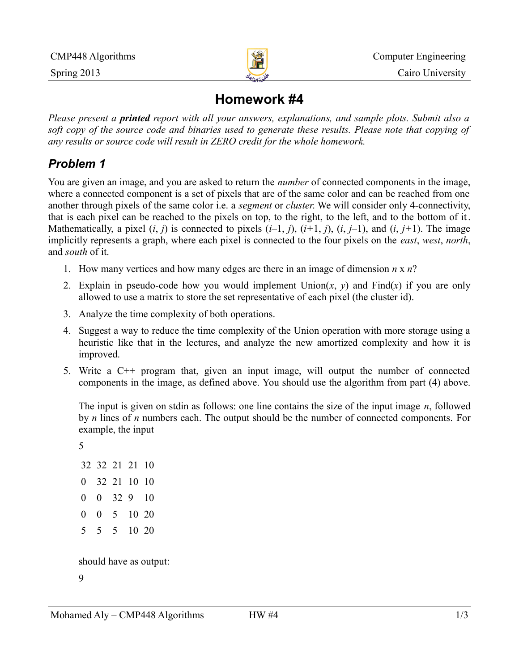

# **Homework #4**

*Please present a printed report with all your answers, explanations, and sample plots. Submit also a soft copy of the source code and binaries used to generate these results. Please note that copying of any results or source code will result in ZERO credit for the whole homework.*

### *Problem 1*

You are given an image, and you are asked to return the *number* of connected components in the image, where a connected component is a set of pixels that are of the same color and can be reached from one another through pixels of the same color i.e. a *segment* or *cluster*. We will consider only 4-connectivity, that is each pixel can be reached to the pixels on top, to the right, to the left, and to the bottom of it. Mathematically, a pixel  $(i, j)$  is connected to pixels  $(i-1, j)$ ,  $(i+1, j)$ ,  $(i, j-1)$ , and  $(i, j+1)$ . The image implicitly represents a graph, where each pixel is connected to the four pixels on the *east*, *west*, *north*, and *south* of it.

- 1. How many vertices and how many edges are there in an image of dimension *n* x *n*?
- 2. Explain in pseudo-code how you would implement  $Union(x, y)$  and  $Find(x)$  if you are only allowed to use a matrix to store the set representative of each pixel (the cluster id).
- 3. Analyze the time complexity of both operations.
- 4. Suggest a way to reduce the time complexity of the Union operation with more storage using a heuristic like that in the lectures, and analyze the new amortized complexity and how it is improved.
- 5. Write a C++ program that, given an input image, will output the number of connected components in the image, as defined above. You should use the algorithm from part (4) above.

The input is given on stdin as follows: one line contains the size of the input image *n*, followed by *n* lines of *n* numbers each. The output should be the number of connected components. For example, the input

5

should have as output:

9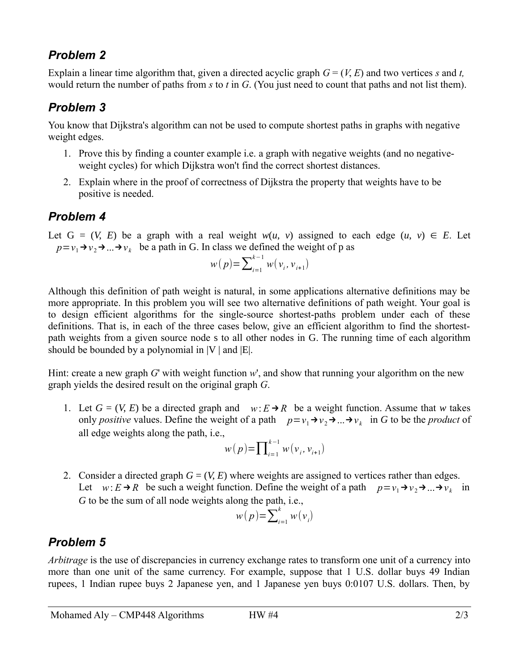#### *Problem 2*

Explain a linear time algorithm that, given a directed acyclic graph  $G = (V, E)$  and two vertices *s* and *t*, would return the number of paths from *s* to *t* in *G*. (You just need to count that paths and not list them).

### *Problem 3*

You know that Dijkstra's algorithm can not be used to compute shortest paths in graphs with negative weight edges.

- 1. Prove this by finding a counter example i.e. a graph with negative weights (and no negativeweight cycles) for which Dijkstra won't find the correct shortest distances.
- 2. Explain where in the proof of correctness of Dijkstra the property that weights have to be positive is needed.

#### *Problem 4*

Let  $G = (V, E)$  be a graph with a real weight  $w(u, v)$  assigned to each edge  $(u, v) \in E$ . Let  $p = v_1 \rightarrow v_2 \rightarrow ... \rightarrow v_k$  be a path in G. In class we defined the weight of p as

$$
w(p) = \sum_{i=1}^{k-1} w(v_i, v_{i+1})
$$

Although this definition of path weight is natural, in some applications alternative definitions may be more appropriate. In this problem you will see two alternative definitions of path weight. Your goal is to design efficient algorithms for the single-source shortest-paths problem under each of these definitions. That is, in each of the three cases below, give an efficient algorithm to find the shortestpath weights from a given source node s to all other nodes in G. The running time of each algorithm should be bounded by a polynomial in  $|V|$  and  $|E|$ .

Hint: create a new graph *G*' with weight function *w*', and show that running your algorithm on the new graph yields the desired result on the original graph *G*.

1. Let  $G = (V, E)$  be a directed graph and  $w: E \rightarrow R$  be a weight function. Assume that *w* takes only *positive* values. Define the weight of a path  $p=v_1\rightarrow v_2\rightarrow ... \rightarrow v_k$  in *G* to be the *product* of all edge weights along the path, i.e.,

$$
w(p) = \prod_{i=1}^{k-1} w(v_i, v_{i+1})
$$

2. Consider a directed graph *G* = (*V*, *E*) where weights are assigned to vertices rather than edges. Let  $w: E \to R$  be such a weight function. Define the weight of a path  $p = v_1 \to v_2 \to ... \to v_k$  in *G* to be the sum of all node weights along the path, i.e.,

$$
w(p) = \sum_{i=1}^{k} w(v_i)
$$

## *Problem 5*

*Arbitrage* is the use of discrepancies in currency exchange rates to transform one unit of a currency into more than one unit of the same currency. For example, suppose that 1 U.S. dollar buys 49 Indian rupees, 1 Indian rupee buys 2 Japanese yen, and 1 Japanese yen buys 0:0107 U.S. dollars. Then, by